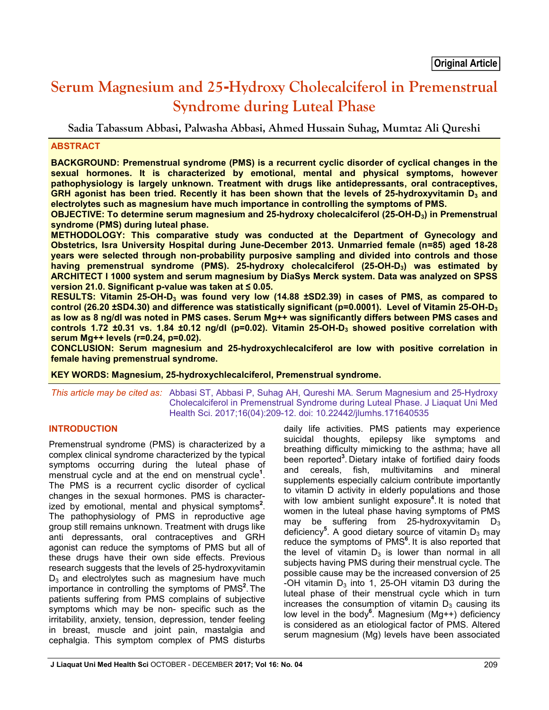# **Serum Magnesium and 25-Hydroxy Cholecalciferol in Premenstrual Syndrome during Luteal Phase**

**Sadia Tabassum Abbasi, Palwasha Abbasi, Ahmed Hussain Suhag, Mumtaz Ali Qureshi**

# **ABSTRACT**

**BACKGROUND: Premenstrual syndrome (PMS) is a recurrent cyclic disorder of cyclical changes in the sexual hormones. It is characterized by emotional, mental and physical symptoms, however pathophysiology is largely unknown. Treatment with drugs like antidepressants, oral contraceptives,**  GRH agonist has been tried. Recently it has been shown that the levels of 25-hydroxyvitamin D<sub>3</sub> and **electrolytes such as magnesium have much importance in controlling the symptoms of PMS.**

**OBJECTIVE: To determine serum magnesium and 25-hydroxy cholecalciferol (25-OH-D3) in Premenstrual syndrome (PMS) during luteal phase.** 

**METHODOLOGY: This comparative study was conducted at the Department of Gynecology and Obstetrics, Isra University Hospital during June-December 2013. Unmarried female (n=85) aged 18-28 years were selected through non-probability purposive sampling and divided into controls and those**  having premenstrual syndrome (PMS). 25-hydroxy cholecalciferol (25-OH-D<sub>3</sub>) was estimated by **ARCHITECT I 1000 system and serum magnesium by DiaSys Merck system. Data was analyzed on SPSS version 21.0. Significant p-value was taken at ≤ 0.05.**

**RESULTS: Vitamin 25-OH-D3 was found very low (14.88 ±SD2.39) in cases of PMS, as compared to control (26.20 ±SD4.30) and difference was statistically significant (p=0.0001). Level of Vitamin 25-OH-D3 as low as 8 ng/dl was noted in PMS cases. Serum Mg++ was significantly differs between PMS cases and controls 1.72 ±0.31 vs. 1.84 ±0.12 ng/dl (p=0.02). Vitamin 25-OH-D3 showed positive correlation with serum Mg++ levels (r=0.24, p=0.02).**

**CONCLUSION: Serum magnesium and 25-hydroxychlecalciferol are low with positive correlation in female having premenstrual syndrome.** 

**KEY WORDS: Magnesium, 25-hydroxychlecalciferol, Premenstrual syndrome.**

*This article may be cited as:* Abbasi ST, Abbasi P, Suhag AH, Qureshi MA. Serum Magnesium and 25-Hydroxy Cholecalciferol in Premenstrual Syndrome during Luteal Phase. J Liaquat Uni Med Health Sci. 2017;16(04):209-12. doi: 10.22442/jlumhs.171640535

# **INTRODUCTION**

Premenstrual syndrome (PMS) is characterized by a complex clinical syndrome characterized by the typical symptoms occurring during the luteal phase of menstrual cycle and at the end on menstrual cycle**<sup>1</sup>** . The PMS is a recurrent cyclic disorder of cyclical changes in the sexual hormones. PMS is characterized by emotional, mental and physical symptoms**<sup>2</sup>** . The pathophysiology of PMS in reproductive age group still remains unknown. Treatment with drugs like anti depressants, oral contraceptives and GRH agonist can reduce the symptoms of PMS but all of these drugs have their own side effects. Previous research suggests that the levels of 25-hydroxyvitamin  $D_3$  and electrolytes such as magnesium have much importance in controlling the symptoms of PMS**<sup>2</sup>** . The patients suffering from PMS complains of subjective symptoms which may be non- specific such as the irritability, anxiety, tension, depression, tender feeling in breast, muscle and joint pain, mastalgia and cephalgia. This symptom complex of PMS disturbs

daily life activities. PMS patients may experience suicidal thoughts, epilepsy like symptoms and breathing difficulty mimicking to the asthma; have all been reported**<sup>3</sup>** . Dietary intake of fortified dairy foods and cereals, fish, multivitamins and mineral supplements especially calcium contribute importantly to vitamin D activity in elderly populations and those with low ambient sunlight exposure**<sup>4</sup>** . It is noted that women in the luteal phase having symptoms of PMS may be suffering from 25-hydroxyvitamin  $D_3$ deficiency<sup>5</sup>. A good dietary source of vitamin D<sub>3</sub> may reduce the symptoms of PMS**<sup>6</sup>** . It is also reported that the level of vitamin  $D_3$  is lower than normal in all subjects having PMS during their menstrual cycle. The possible cause may be the increased conversion of 25 -OH vitamin  $D_3$  into 1, 25-OH vitamin D3 during the luteal phase of their menstrual cycle which in turn increases the consumption of vitamin  $D_3$  causing its low level in the body**<sup>6</sup>** . Magnesium (Mg++) deficiency is considered as an etiological factor of PMS. Altered serum magnesium (Mg) levels have been associated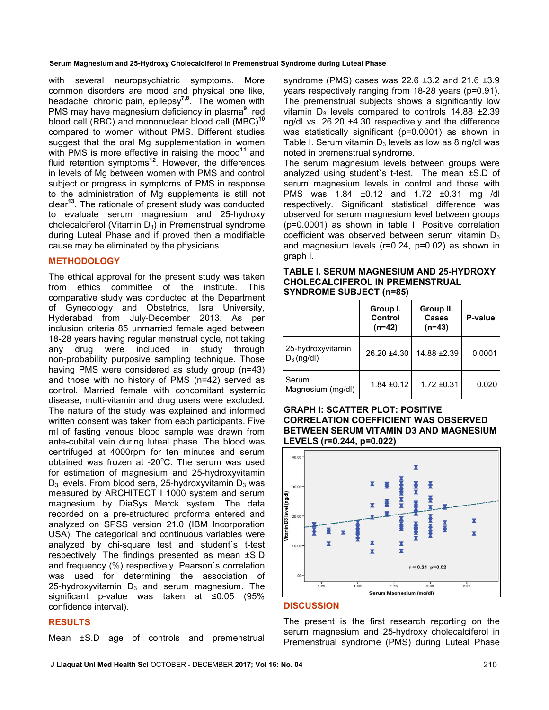with several neuropsychiatric symptoms. More common disorders are mood and physical one like, headache, chronic pain, epilepsy**7,8**. The women with PMS may have magnesium deficiency in plasma**<sup>9</sup>** , red blood cell (RBC) and mononuclear blood cell (MBC)**<sup>10</sup>** compared to women without PMS. Different studies suggest that the oral Mg supplementation in women with PMS is more effective in raising the mood<sup>11</sup> and fluid retention symptoms**<sup>12</sup>**. However, the differences in levels of Mg between women with PMS and control subject or progress in symptoms of PMS in response to the administration of Mg supplements is still not clear**<sup>13</sup>**. The rationale of present study was conducted to evaluate serum magnesium and 25-hydroxy cholecalciferol (Vitamin  $D_3$ ) in Premenstrual syndrome during Luteal Phase and if proved then a modifiable cause may be eliminated by the physicians.

# **METHODOLOGY**

The ethical approval for the present study was taken from ethics committee of the institute. This comparative study was conducted at the Department of Gynecology and Obstetrics, Isra University, Hyderabad from July-December 2013. As per inclusion criteria 85 unmarried female aged between 18-28 years having regular menstrual cycle, not taking any drug were included in study through non-probability purposive sampling technique. Those having PMS were considered as study group (n=43) and those with no history of PMS (n=42) served as control. Married female with concomitant systemic disease, multi-vitamin and drug users were excluded. The nature of the study was explained and informed written consent was taken from each participants. Five ml of fasting venous blood sample was drawn from ante-cubital vein during luteal phase. The blood was centrifuged at 4000rpm for ten minutes and serum obtained was frozen at -20°C. The serum was used for estimation of magnesium and 25-hydroxyvitamin  $D_3$  levels. From blood sera, 25-hydroxyvitamin  $D_3$  was measured by ARCHITECT I 1000 system and serum magnesium by DiaSys Merck system. The data recorded on a pre-structured proforma entered and analyzed on SPSS version 21.0 (IBM Incorporation USA). The categorical and continuous variables were analyzed by chi-square test and student`s t-test respectively. The findings presented as mean ±S.D and frequency (%) respectively. Pearson`s correlation was used for determining the association of 25-hydroxyvitamin  $D_3$  and serum magnesium. The significant p-value was taken at ≤0.05 (95% confidence interval).

# **RESULTS**

Mean ±S.D age of controls and premenstrual

syndrome (PMS) cases was 22.6 ±3.2 and 21.6 ±3.9 years respectively ranging from 18-28 years (p=0.91). The premenstrual subjects shows a significantly low vitamin  $D_3$  levels compared to controls 14.88  $\pm 2.39$ ng/dl vs. 26.20 ±4.30 respectively and the difference was statistically significant (p=0.0001) as shown in Table I. Serum vitamin  $D_3$  levels as low as 8 ng/dl was noted in premenstrual syndrome.

The serum magnesium levels between groups were analyzed using student`s t-test. The mean ±S.D of serum magnesium levels in control and those with PMS was 1.84 ±0.12 and 1.72 ±0.31 mg /dl respectively. Significant statistical difference was observed for serum magnesium level between groups (p=0.0001) as shown in table I. Positive correlation coefficient was observed between serum vitamin  $D_3$ and magnesium levels (r=0.24, p=0.02) as shown in graph I.

## **TABLE I. SERUM MAGNESIUM AND 25-HYDROXY CHOLECALCIFEROL IN PREMENSTRUAL SYNDROME SUBJECT (n=85)**

|                                    | Group I.<br>Control<br>$(n=42)$ | Group II.<br>Cases<br>$(n=43)$ | P-value |
|------------------------------------|---------------------------------|--------------------------------|---------|
| 25-hydroxyvitamin<br>$D_3$ (ng/dl) | $26.20 \pm 4.30$                | 14.88 ± 2.39                   | 0.0001  |
| Serum<br>Magnesium (mg/dl)         | $1.84 \pm 0.12$                 | $1.72 \pm 0.31$                | 0.020   |

## **GRAPH I: SCATTER PLOT: POSITIVE CORRELATION COEFFICIENT WAS OBSERVED BETWEEN SERUM VITAMIN D3 AND MAGNESIUM LEVELS (r=0.244, p=0.022)**



## **DISCUSSION**

The present is the first research reporting on the serum magnesium and 25-hydroxy cholecalciferol in Premenstrual syndrome (PMS) during Luteal Phase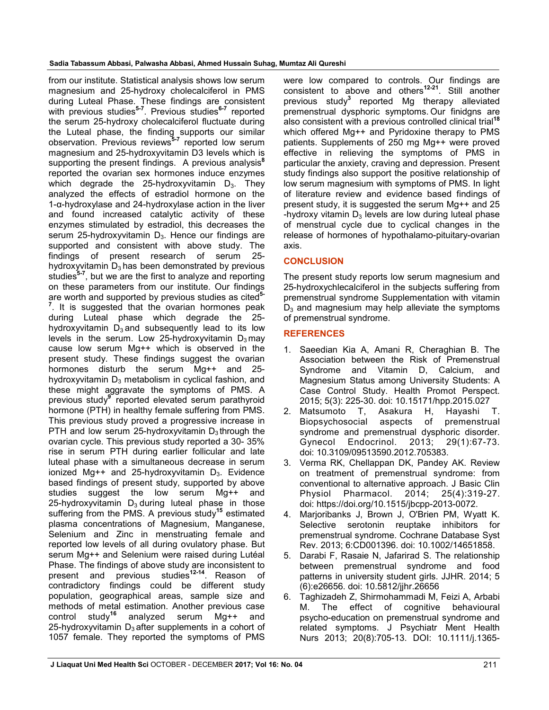from our institute. Statistical analysis shows low serum magnesium and 25-hydroxy cholecalciferol in PMS during Luteal Phase. These findings are consistent with previous studies**5-7** . Previous studies**6-7** reported the serum 25-hydroxy cholecalciferol fluctuate during the Luteal phase, the finding supports our similar observation. Previous reviews**5-7** reported low serum magnesium and 25-hydroxyvitamin D3 levels which is supporting the present findings. A previous analysis**<sup>8</sup>** reported the ovarian sex hormones induce enzymes which degrade the 25-hydroxyvitamin  $D_3$ . They analyzed the effects of estradiol hormone on the 1-α-hydroxylase and 24-hydroxylase action in the liver and found increased catalytic activity of these enzymes stimulated by estradiol, this decreases the serum 25-hydroxyvitamin  $D_3$ . Hence our findings are supported and consistent with above study. The findings of present research of serum 25 hydroxyvitamin  $D_3$  has been demonstrated by previous studies**5-7** , but we are the first to analyze and reporting on these parameters from our institute. Our findings are worth and supported by previous studies as cited**5-** <sup>7</sup>. It is suggested that the ovarian hormones peak during Luteal phase which degrade the 25 hydroxyvitamin  $D_3$  and subsequently lead to its low levels in the serum. Low 25-hydroxyvitamin  $D_3$  may cause low serum Mg++ which is observed in the present study. These findings suggest the ovarian hormones disturb the serum Mg++ and 25 hydroxyvitamin  $D_3$  metabolism in cyclical fashion, and these might aggravate the symptoms of PMS. A previous study**<sup>9</sup>** reported elevated serum parathyroid hormone (PTH) in healthy female suffering from PMS. This previous study proved a progressive increase in PTH and low serum 25-hydroxyvitamin  $D_3$  through the ovarian cycle. This previous study reported a 30- 35% rise in serum PTH during earlier follicular and late luteal phase with a simultaneous decrease in serum ionized Mg++ and 25-hydroxyvitamin  $D_3$ . Evidence based findings of present study, supported by above studies suggest the low serum Mg++ and 25-hydroxyvitamin  $D_3$  during luteal phase in those suffering from the PMS. A previous study**<sup>15</sup>** estimated plasma concentrations of Magnesium, Manganese, Selenium and Zinc in menstruating female and reported low levels of all during ovulatory phase. But serum Mg++ and Selenium were raised during Lutéal Phase. The findings of above study are inconsistent to present and previous studies**12-14**. Reason of contradictory findings could be different study population, geographical areas, sample size and methods of metal estimation. Another previous case<br>control  $\frac{1}{16}$  study<sup>16</sup> analyzed serum Mg++ and analyzed serum Mg++ and 25-hydroxyvitamin  $D_3$  after supplements in a cohort of 1057 female. They reported the symptoms of PMS

were low compared to controls. Our findings are consistent to above and others**12-21**. Still another previous study**<sup>3</sup>** reported Mg therapy alleviated premenstrual dysphoric symptoms. Our finidgns are also consistent with a previous controlled clinical trial**<sup>18</sup>** which offered Mg++ and Pyridoxine therapy to PMS patients. Supplements of 250 mg Mg++ were proved effective in relieving the symptoms of PMS in particular the anxiety, craving and depression. Present study findings also support the positive relationship of low serum magnesium with symptoms of PMS. In light of literature review and evidence based findings of present study, it is suggested the serum Mg++ and 25 -hydroxy vitamin  $D_3$  levels are low during luteal phase of menstrual cycle due to cyclical changes in the release of hormones of hypothalamo-pituitary-ovarian axis.

# **CONCLUSION**

The present study reports low serum magnesium and 25-hydroxychlecalciferol in the subjects suffering from premenstrual syndrome Supplementation with vitamin  $D_3$  and magnesium may help alleviate the symptoms of premenstrual syndrome.

# **REFERENCES**

- 1. Saeedian Kia A, Amani R, Cheraghian B. The Association between the Risk of Premenstrual Syndrome and Vitamin D, Calcium, and Magnesium Status among University Students: A Case Control Study. Health Promot Perspect. 2015; 5(3): 225-30. doi: 10.15171/hpp.2015.027
- 2. Matsumoto T, Asakura H, Hayashi T. Biopsychosocial aspects of premenstrual syndrome and premenstrual dysphoric disorder. Gynecol Endocrinol. 2013; 29(1):67-73. doi: 10.3109/09513590.2012.705383.
- 3. Verma RK, Chellappan DK, Pandey AK. Review on treatment of premenstrual syndrome: from conventional to alternative approach. J Basic Clin Physiol Pharmacol. 2014; 25(4):319-27. doi: https://doi.org/10.1515/jbcpp-2013-0072.
- 4. Marjoribanks J, Brown J, O'Brien PM, Wyatt K. Selective serotonin reuptake inhibitors for premenstrual syndrome. Cochrane Database Syst Rev. 2013; 6:CD001396. doi: 10.1002/14651858.
- 5. Darabi F, Rasaie N, Jafarirad S. The relationship between premenstrual syndrome and food patterns in university student girls. JJHR. 2014; 5 (6):e26656. doi: 10.5812/jjhr.26656
- 6. Taghizadeh Z, Shirmohammadi M, Feizi A, Arbabi M. The effect of cognitive behavioural psycho-education on premenstrual syndrome and related symptoms. J Psychiatr Ment Health Nurs 2013; 20(8):705-13. DOI: 10.1111/j.1365-